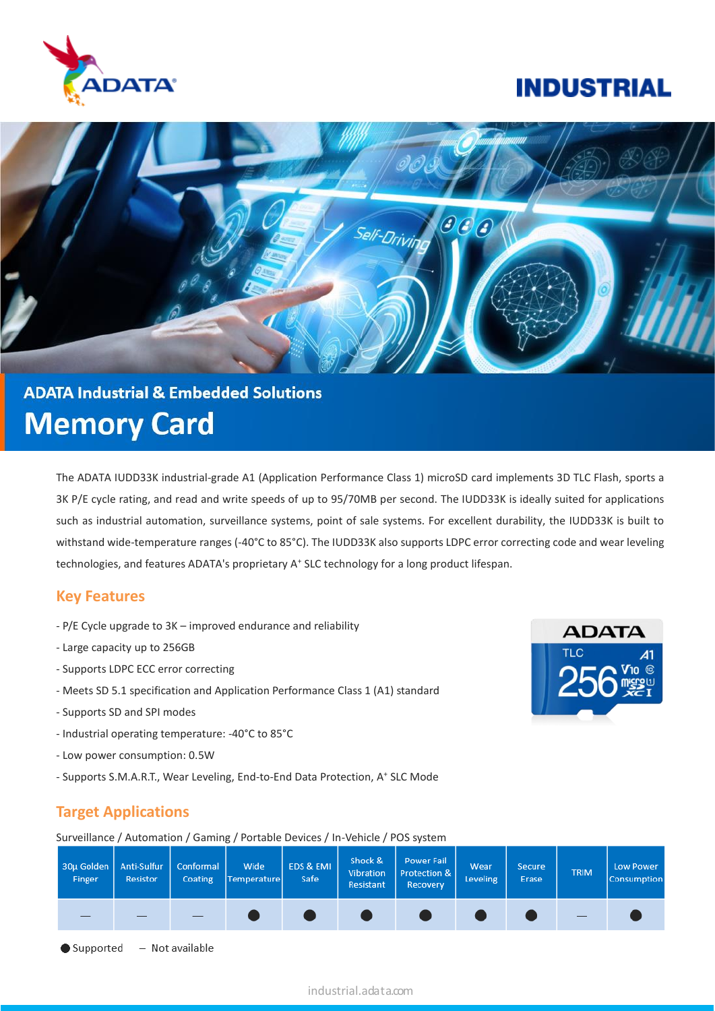

## **INDUSTRIAL**



# **ADATA Industrial & Embedded Solutions Memory Card**

The ADATA IUDD33K industrial-grade A1 (Application Performance Class 1) microSD card implements 3D TLC Flash, sports a 3K P/E cycle rating, and read and write speeds of up to 95/70MB per second. The IUDD33K is ideally suited for applications such as industrial automation, surveillance systems, point of sale systems. For excellent durability, the IUDD33K is built to withstand wide-temperature ranges (-40°C to 85°C). The IUDD33K also supports LDPC error correcting code and wear leveling technologies, and features ADATA's proprietary A<sup>+</sup> SLC technology for a long product lifespan.

#### **Key Features**

- P/E Cycle upgrade to 3K improved endurance and reliability
- Large capacity up to 256GB
- Supports LDPC ECC error correcting
- Meets SD 5.1 specification and Application Performance Class 1 (A1) standard
- Supports SD and SPI modes
- Industrial operating temperature: -40°C to 85°C
- Low power consumption: 0.5W
- Supports S.M.A.R.T., Wear Leveling, End-to-End Data Protection, A<sup>+</sup> SLC Mode

## **Target Applications**

Surveillance / Automation / Gaming / Portable Devices / In-Vehicle / POS system



 $-$  Not available Supported